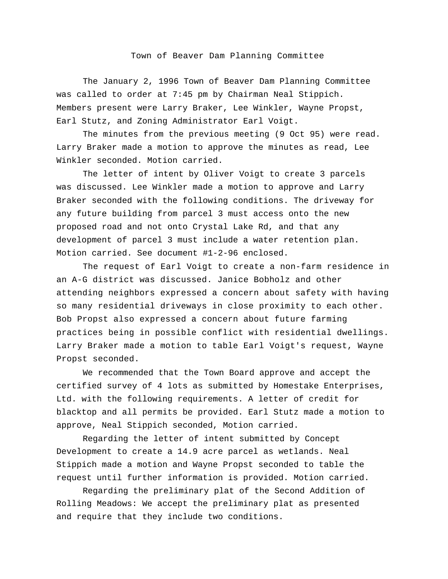## Town of Beaver Dam Planning Committee

The January 2, 1996 Town of Beaver Dam Planning Committee was called to order at 7:45 pm by Chairman Neal Stippich. Members present were Larry Braker, Lee Winkler, Wayne Propst, Earl Stutz, and Zoning Administrator Earl Voigt.

The minutes from the previous meeting (9 Oct 95) were read. Larry Braker made a motion to approve the minutes as read, Lee Winkler seconded. Motion carried.

The letter of intent by Oliver Voigt to create 3 parcels was discussed. Lee Winkler made a motion to approve and Larry Braker seconded with the following conditions. The driveway for any future building from parcel 3 must access onto the new proposed road and not onto Crystal Lake Rd, and that any development of parcel 3 must include a water retention plan. Motion carried. See document #1-2-96 enclosed.

The request of Earl Voigt to create a non-farm residence in an A-G district was discussed. Janice Bobholz and other attending neighbors expressed a concern about safety with having so many residential driveways in close proximity to each other. Bob Propst also expressed a concern about future farming practices being in possible conflict with residential dwellings. Larry Braker made a motion to table Earl Voigt's request, Wayne Propst seconded.

We recommended that the Town Board approve and accept the certified survey of 4 lots as submitted by Homestake Enterprises, Ltd. with the following requirements. A letter of credit for blacktop and all permits be provided. Earl Stutz made a motion to approve, Neal Stippich seconded, Motion carried.

Regarding the letter of intent submitted by Concept Development to create a 14.9 acre parcel as wetlands. Neal Stippich made a motion and Wayne Propst seconded to table the request until further information is provided. Motion carried.

Regarding the preliminary plat of the Second Addition of Rolling Meadows: We accept the preliminary plat as presented and require that they include two conditions.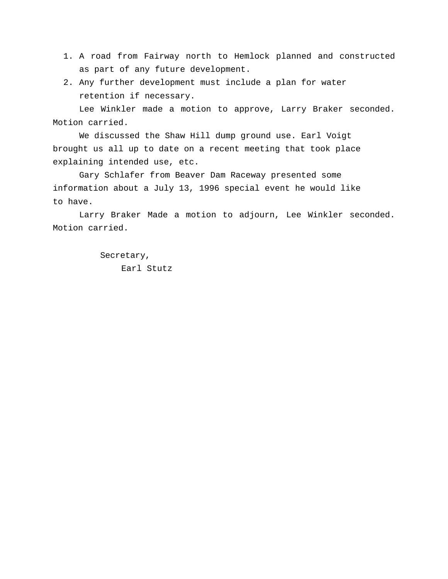- 1. A road from Fairway north to Hemlock planned and constructed as part of any future development.
- 2. Any further development must include a plan for water retention if necessary.

Lee Winkler made a motion to approve, Larry Braker seconded. Motion carried.

We discussed the Shaw Hill dump ground use. Earl Voigt brought us all up to date on a recent meeting that took place explaining intended use, etc.

Gary Schlafer from Beaver Dam Raceway presented some information about a July 13, 1996 special event he would like to have.

Larry Braker Made a motion to adjourn, Lee Winkler seconded. Motion carried.

> Secretary, Earl Stutz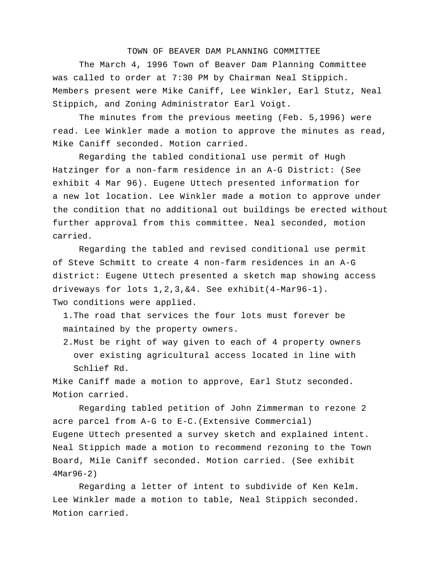The March 4, 1996 Town of Beaver Dam Planning Committee was called to order at 7:30 PM by Chairman Neal Stippich. Members present were Mike Caniff, Lee Winkler, Earl Stutz, Neal Stippich, and Zoning Administrator Earl Voigt.

The minutes from the previous meeting (Feb. 5,1996) were read. Lee Winkler made a motion to approve the minutes as read, Mike Caniff seconded. Motion carried.

Regarding the tabled conditional use permit of Hugh Hatzinger for a non-farm residence in an A-G District: (See exhibit 4 Mar 96). Eugene Uttech presented information for a new lot location. Lee Winkler made a motion to approve under the condition that no additional out buildings be erected without further approval from this committee. Neal seconded, motion carried.

Regarding the tabled and revised conditional use permit of Steve Schmitt to create 4 non-farm residences in an A-G district: Eugene Uttech presented a sketch map showing access driveways for lots 1,2,3,&4. See exhibit(4-Mar96-1). Two conditions were applied.

1.The road that services the four lots must forever be maintained by the property owners.

2.Must be right of way given to each of 4 property owners over existing agricultural access located in line with Schlief Rd.

Mike Caniff made a motion to approve, Earl Stutz seconded. Motion carried.

Regarding tabled petition of John Zimmerman to rezone 2 acre parcel from A-G to E-C.(Extensive Commercial) Eugene Uttech presented a survey sketch and explained intent. Neal Stippich made a motion to recommend rezoning to the Town Board, Mile Caniff seconded. Motion carried. (See exhibit 4Mar96-2)

Regarding a letter of intent to subdivide of Ken Kelm. Lee Winkler made a motion to table, Neal Stippich seconded. Motion carried.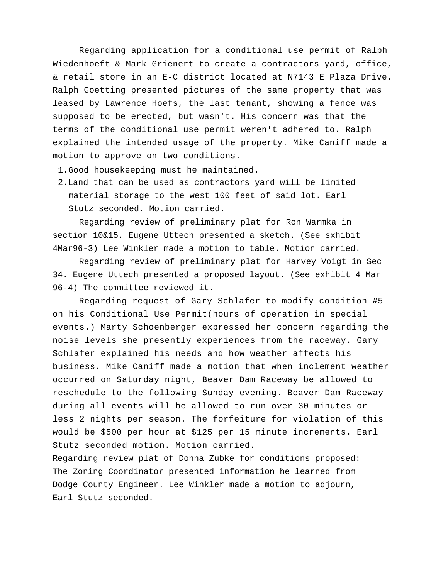Regarding application for a conditional use permit of Ralph Wiedenhoeft & Mark Grienert to create a contractors yard, office, & retail store in an E-C district located at N7143 E Plaza Drive. Ralph Goetting presented pictures of the same property that was leased by Lawrence Hoefs, the last tenant, showing a fence was supposed to be erected, but wasn't. His concern was that the terms of the conditional use permit weren't adhered to. Ralph explained the intended usage of the property. Mike Caniff made a motion to approve on two conditions.

1.Good housekeeping must he maintained.

2.Land that can be used as contractors yard will be limited material storage to the west 100 feet of said lot. Earl Stutz seconded. Motion carried.

Regarding review of preliminary plat for Ron Warmka in section 10&15. Eugene Uttech presented a sketch. (See sxhibit 4Mar96-3) Lee Winkler made a motion to table. Motion carried.

Regarding review of preliminary plat for Harvey Voigt in Sec 34. Eugene Uttech presented a proposed layout. (See exhibit 4 Mar 96-4) The committee reviewed it.

Regarding request of Gary Schlafer to modify condition #5 on his Conditional Use Permit(hours of operation in special events.) Marty Schoenberger expressed her concern regarding the noise levels she presently experiences from the raceway. Gary Schlafer explained his needs and how weather affects his business. Mike Caniff made a motion that when inclement weather occurred on Saturday night, Beaver Dam Raceway be allowed to reschedule to the following Sunday evening. Beaver Dam Raceway during all events will be allowed to run over 30 minutes or less 2 nights per season. The forfeiture for violation of this would be \$500 per hour at \$125 per 15 minute increments. Earl Stutz seconded motion. Motion carried.

Regarding review plat of Donna Zubke for conditions proposed: The Zoning Coordinator presented information he learned from Dodge County Engineer. Lee Winkler made a motion to adjourn, Earl Stutz seconded.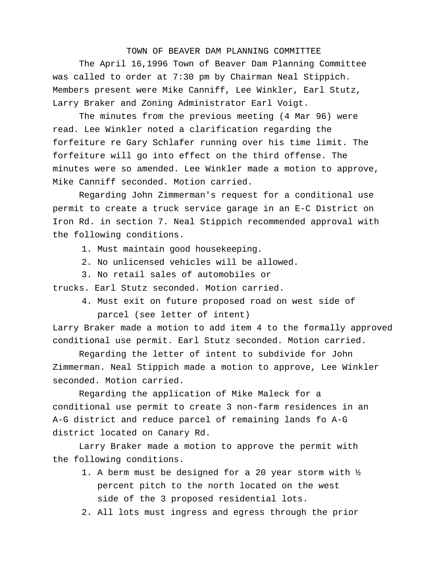The April 16,1996 Town of Beaver Dam Planning Committee was called to order at 7:30 pm by Chairman Neal Stippich. Members present were Mike Canniff, Lee Winkler, Earl Stutz, Larry Braker and Zoning Administrator Earl Voigt.

The minutes from the previous meeting (4 Mar 96) were read. Lee Winkler noted a clarification regarding the forfeiture re Gary Schlafer running over his time limit. The forfeiture will go into effect on the third offense. The minutes were so amended. Lee Winkler made a motion to approve, Mike Canniff seconded. Motion carried.

Regarding John Zimmerman's request for a conditional use permit to create a truck service garage in an E-C District on Iron Rd. in section 7. Neal Stippich recommended approval with the following conditions.

- 1. Must maintain good housekeeping.
- 2. No unlicensed vehicles will be allowed.
- 3. No retail sales of automobiles or

trucks. Earl Stutz seconded. Motion carried.

4. Must exit on future proposed road on west side of parcel (see letter of intent)

Larry Braker made a motion to add item 4 to the formally approved conditional use permit. Earl Stutz seconded. Motion carried.

Regarding the letter of intent to subdivide for John Zimmerman. Neal Stippich made a motion to approve, Lee Winkler seconded. Motion carried.

Regarding the application of Mike Maleck for a conditional use permit to create 3 non-farm residences in an A-G district and reduce parcel of remaining lands fo A-G district located on Canary Rd.

Larry Braker made a motion to approve the permit with the following conditions.

- 1. A berm must be designed for a 20 year storm with  $\frac{1}{2}$ percent pitch to the north located on the west side of the 3 proposed residential lots.
- 2. All lots must ingress and egress through the prior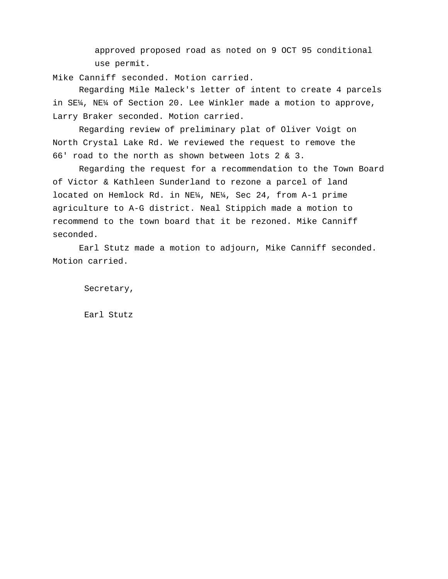approved proposed road as noted on 9 OCT 95 conditional use permit.

Mike Canniff seconded. Motion carried.

Regarding Mile Maleck's letter of intent to create 4 parcels in SE¼, NE¼ of Section 20. Lee Winkler made a motion to approve, Larry Braker seconded. Motion carried.

Regarding review of preliminary plat of Oliver Voigt on North Crystal Lake Rd. We reviewed the request to remove the 66' road to the north as shown between lots 2 & 3.

Regarding the request for a recommendation to the Town Board of Victor & Kathleen Sunderland to rezone a parcel of land located on Hemlock Rd. in NE¼, NE¼, Sec 24, from A-1 prime agriculture to A-G district. Neal Stippich made a motion to recommend to the town board that it be rezoned. Mike Canniff seconded.

Earl Stutz made a motion to adjourn, Mike Canniff seconded. Motion carried.

Secretary,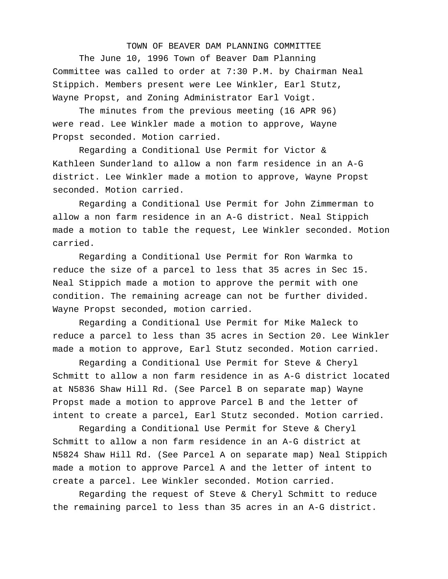# TOWN OF BEAVER DAM PLANNING COMMITTEE The June 10, 1996 Town of Beaver Dam Planning Committee was called to order at 7:30 P.M. by Chairman Neal Stippich. Members present were Lee Winkler, Earl Stutz, Wayne Propst, and Zoning Administrator Earl Voigt.

The minutes from the previous meeting (16 APR 96) were read. Lee Winkler made a motion to approve, Wayne Propst seconded. Motion carried.

Regarding a Conditional Use Permit for Victor & Kathleen Sunderland to allow a non farm residence in an A-G district. Lee Winkler made a motion to approve, Wayne Propst seconded. Motion carried.

Regarding a Conditional Use Permit for John Zimmerman to allow a non farm residence in an A-G district. Neal Stippich made a motion to table the request, Lee Winkler seconded. Motion carried.

Regarding a Conditional Use Permit for Ron Warmka to reduce the size of a parcel to less that 35 acres in Sec 15. Neal Stippich made a motion to approve the permit with one condition. The remaining acreage can not be further divided. Wayne Propst seconded, motion carried.

Regarding a Conditional Use Permit for Mike Maleck to reduce a parcel to less than 35 acres in Section 20. Lee Winkler made a motion to approve, Earl Stutz seconded. Motion carried.

Regarding a Conditional Use Permit for Steve & Cheryl Schmitt to allow a non farm residence in as A-G district located at N5836 Shaw Hill Rd. (See Parcel B on separate map) Wayne Propst made a motion to approve Parcel B and the letter of intent to create a parcel, Earl Stutz seconded. Motion carried.

Regarding a Conditional Use Permit for Steve & Cheryl Schmitt to allow a non farm residence in an A-G district at N5824 Shaw Hill Rd. (See Parcel A on separate map) Neal Stippich made a motion to approve Parcel A and the letter of intent to create a parcel. Lee Winkler seconded. Motion carried.

Regarding the request of Steve & Cheryl Schmitt to reduce the remaining parcel to less than 35 acres in an A-G district.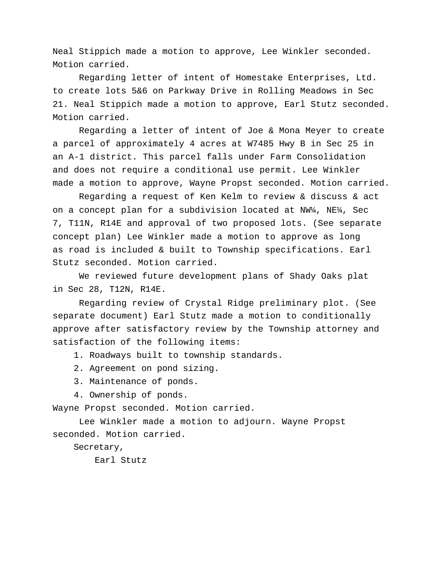Neal Stippich made a motion to approve, Lee Winkler seconded. Motion carried.

Regarding letter of intent of Homestake Enterprises, Ltd. to create lots 5&6 on Parkway Drive in Rolling Meadows in Sec 21. Neal Stippich made a motion to approve, Earl Stutz seconded. Motion carried.

Regarding a letter of intent of Joe & Mona Meyer to create a parcel of approximately 4 acres at W7485 Hwy B in Sec 25 in an A-1 district. This parcel falls under Farm Consolidation and does not require a conditional use permit. Lee Winkler made a motion to approve, Wayne Propst seconded. Motion carried.

Regarding a request of Ken Kelm to review & discuss & act on a concept plan for a subdivision located at NW¼, NE¼, Sec 7, T11N, R14E and approval of two proposed lots. (See separate concept plan) Lee Winkler made a motion to approve as long as road is included & built to Township specifications. Earl Stutz seconded. Motion carried.

We reviewed future development plans of Shady Oaks plat in Sec 28, T12N, R14E.

Regarding review of Crystal Ridge preliminary plot. (See separate document) Earl Stutz made a motion to conditionally approve after satisfactory review by the Township attorney and satisfaction of the following items:

1. Roadways built to township standards.

- 2. Agreement on pond sizing.
- 3. Maintenance of ponds.
- 4. Ownership of ponds.

Wayne Propst seconded. Motion carried.

Lee Winkler made a motion to adjourn. Wayne Propst seconded. Motion carried.

Secretary,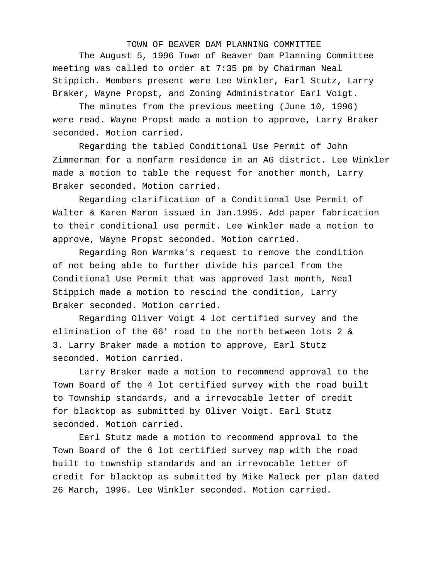The August 5, 1996 Town of Beaver Dam Planning Committee meeting was called to order at 7:35 pm by Chairman Neal Stippich. Members present were Lee Winkler, Earl Stutz, Larry Braker, Wayne Propst, and Zoning Administrator Earl Voigt.

The minutes from the previous meeting (June 10, 1996) were read. Wayne Propst made a motion to approve, Larry Braker seconded. Motion carried.

Regarding the tabled Conditional Use Permit of John Zimmerman for a nonfarm residence in an AG district. Lee Winkler made a motion to table the request for another month, Larry Braker seconded. Motion carried.

Regarding clarification of a Conditional Use Permit of Walter & Karen Maron issued in Jan.1995. Add paper fabrication to their conditional use permit. Lee Winkler made a motion to approve, Wayne Propst seconded. Motion carried.

Regarding Ron Warmka's request to remove the condition of not being able to further divide his parcel from the Conditional Use Permit that was approved last month, Neal Stippich made a motion to rescind the condition, Larry Braker seconded. Motion carried.

Regarding Oliver Voigt 4 lot certified survey and the elimination of the 66' road to the north between lots 2 & 3. Larry Braker made a motion to approve, Earl Stutz seconded. Motion carried.

Larry Braker made a motion to recommend approval to the Town Board of the 4 lot certified survey with the road built to Township standards, and a irrevocable letter of credit for blacktop as submitted by Oliver Voigt. Earl Stutz seconded. Motion carried.

Earl Stutz made a motion to recommend approval to the Town Board of the 6 lot certified survey map with the road built to township standards and an irrevocable letter of credit for blacktop as submitted by Mike Maleck per plan dated 26 March, 1996. Lee Winkler seconded. Motion carried.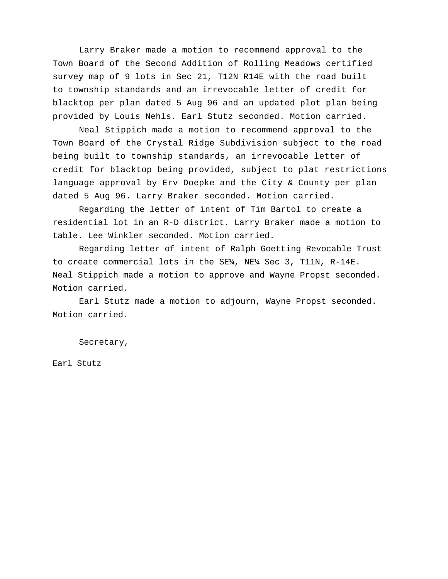Larry Braker made a motion to recommend approval to the Town Board of the Second Addition of Rolling Meadows certified survey map of 9 lots in Sec 21, T12N R14E with the road built to township standards and an irrevocable letter of credit for blacktop per plan dated 5 Aug 96 and an updated plot plan being provided by Louis Nehls. Earl Stutz seconded. Motion carried.

Neal Stippich made a motion to recommend approval to the Town Board of the Crystal Ridge Subdivision subject to the road being built to township standards, an irrevocable letter of credit for blacktop being provided, subject to plat restrictions language approval by Erv Doepke and the City & County per plan dated 5 Aug 96. Larry Braker seconded. Motion carried.

Regarding the letter of intent of Tim Bartol to create a residential lot in an R-D district. Larry Braker made a motion to table. Lee Winkler seconded. Motion carried.

Regarding letter of intent of Ralph Goetting Revocable Trust to create commercial lots in the SE¼, NE¼ Sec 3, T11N, R-14E. Neal Stippich made a motion to approve and Wayne Propst seconded. Motion carried.

Earl Stutz made a motion to adjourn, Wayne Propst seconded. Motion carried.

Secretary,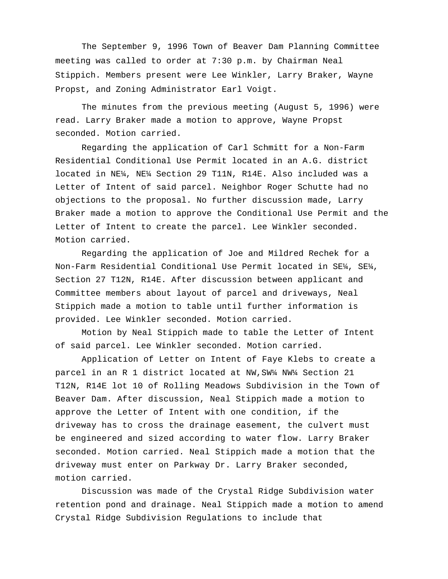The September 9, 1996 Town of Beaver Dam Planning Committee meeting was called to order at 7:30 p.m. by Chairman Neal Stippich. Members present were Lee Winkler, Larry Braker, Wayne Propst, and Zoning Administrator Earl Voigt.

The minutes from the previous meeting (August 5, 1996) were read. Larry Braker made a motion to approve, Wayne Propst seconded. Motion carried.

Regarding the application of Carl Schmitt for a Non-Farm Residential Conditional Use Permit located in an A.G. district located in NE¼, NE¼ Section 29 T11N, R14E. Also included was a Letter of Intent of said parcel. Neighbor Roger Schutte had no objections to the proposal. No further discussion made, Larry Braker made a motion to approve the Conditional Use Permit and the Letter of Intent to create the parcel. Lee Winkler seconded. Motion carried.

Regarding the application of Joe and Mildred Rechek for a Non-Farm Residential Conditional Use Permit located in SE¼, SE¼, Section 27 T12N, R14E. After discussion between applicant and Committee members about layout of parcel and driveways, Neal Stippich made a motion to table until further information is provided. Lee Winkler seconded. Motion carried.

Motion by Neal Stippich made to table the Letter of Intent of said parcel. Lee Winkler seconded. Motion carried.

Application of Letter on Intent of Faye Klebs to create a parcel in an R 1 district located at NW,SW¼ NW¼ Section 21 T12N, R14E lot 10 of Rolling Meadows Subdivision in the Town of Beaver Dam. After discussion, Neal Stippich made a motion to approve the Letter of Intent with one condition, if the driveway has to cross the drainage easement, the culvert must be engineered and sized according to water flow. Larry Braker seconded. Motion carried. Neal Stippich made a motion that the driveway must enter on Parkway Dr. Larry Braker seconded, motion carried.

Discussion was made of the Crystal Ridge Subdivision water retention pond and drainage. Neal Stippich made a motion to amend Crystal Ridge Subdivision Regulations to include that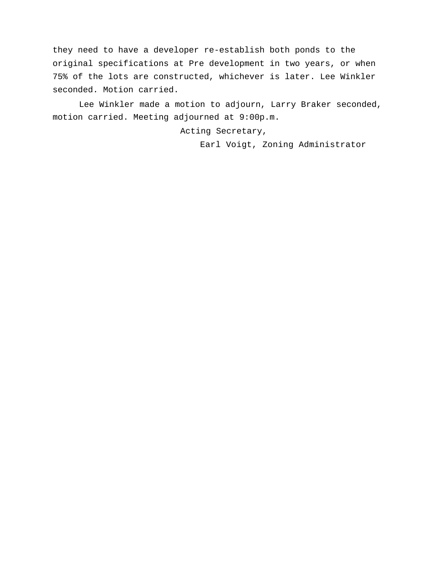they need to have a developer re-establish both ponds to the original specifications at Pre development in two years, or when 75% of the lots are constructed, whichever is later. Lee Winkler seconded. Motion carried.

Lee Winkler made a motion to adjourn, Larry Braker seconded, motion carried. Meeting adjourned at 9:00p.m.

Acting Secretary,

Earl Voigt, Zoning Administrator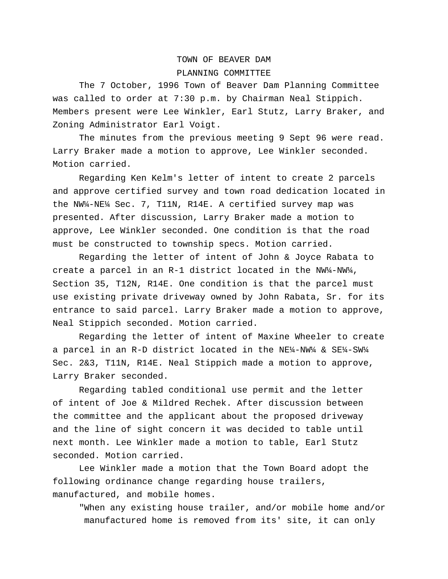The 7 October, 1996 Town of Beaver Dam Planning Committee was called to order at 7:30 p.m. by Chairman Neal Stippich. Members present were Lee Winkler, Earl Stutz, Larry Braker, and Zoning Administrator Earl Voigt.

The minutes from the previous meeting 9 Sept 96 were read. Larry Braker made a motion to approve, Lee Winkler seconded. Motion carried.

Regarding Ken Kelm's letter of intent to create 2 parcels and approve certified survey and town road dedication located in the NW¼-NE¼ Sec. 7, T11N, R14E. A certified survey map was presented. After discussion, Larry Braker made a motion to approve, Lee Winkler seconded. One condition is that the road must be constructed to township specs. Motion carried.

Regarding the letter of intent of John & Joyce Rabata to create a parcel in an R-1 district located in the NW¼-NW¼, Section 35, T12N, R14E. One condition is that the parcel must use existing private driveway owned by John Rabata, Sr. for its entrance to said parcel. Larry Braker made a motion to approve, Neal Stippich seconded. Motion carried.

Regarding the letter of intent of Maxine Wheeler to create a parcel in an R-D district located in the NE¼-NW¼ & SE¼-SW¼ Sec. 2&3, T11N, R14E. Neal Stippich made a motion to approve, Larry Braker seconded.

Regarding tabled conditional use permit and the letter of intent of Joe & Mildred Rechek. After discussion between the committee and the applicant about the proposed driveway and the line of sight concern it was decided to table until next month. Lee Winkler made a motion to table, Earl Stutz seconded. Motion carried.

Lee Winkler made a motion that the Town Board adopt the following ordinance change regarding house trailers, manufactured, and mobile homes.

"When any existing house trailer, and/or mobile home and/or manufactured home is removed from its' site, it can only